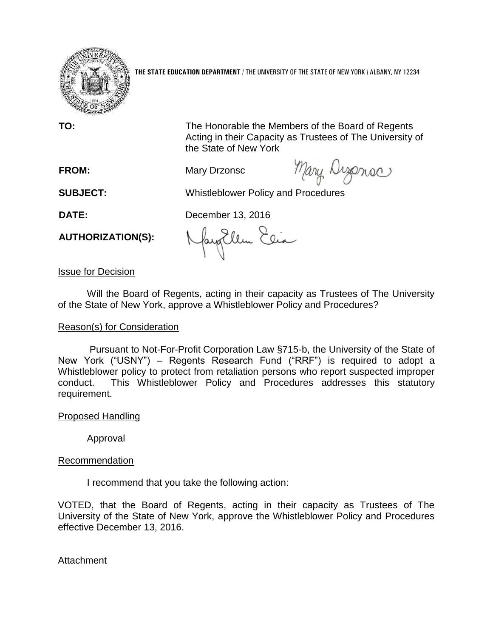

**THE STATE EDUCATION DEPARTMENT** / THE UNIVERSITY OF THE STATE OF NEW YORK / ALBANY, NY 12234

**TO:** The Honorable the Members of the Board of Regents Acting in their Capacity as Trustees of The University of the State of New York

**FROM:** Mary Drzonsc

Mary Disense

**SUBJECT:** Whistleblower Policy and Procedures

**DATE:** December 13, 2016

**AUTHORIZATION(S):**

fayEllen Elia

Issue for Decision

Will the Board of Regents, acting in their capacity as Trustees of The University of the State of New York, approve a Whistleblower Policy and Procedures?

# Reason(s) for Consideration

Pursuant to Not-For-Profit Corporation Law §715-b, the University of the State of New York ("USNY") – Regents Research Fund ("RRF") is required to adopt a Whistleblower policy to protect from retaliation persons who report suspected improper conduct. This Whistleblower Policy and Procedures addresses this statutory requirement.

## Proposed Handling

Approval

# Recommendation

I recommend that you take the following action:

VOTED, that the Board of Regents, acting in their capacity as Trustees of The University of the State of New York, approve the Whistleblower Policy and Procedures effective December 13, 2016.

**Attachment**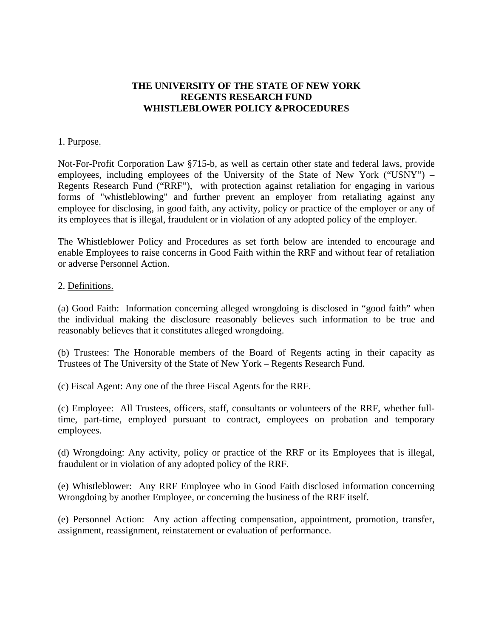## **THE UNIVERSITY OF THE STATE OF NEW YORK REGENTS RESEARCH FUND WHISTLEBLOWER POLICY &PROCEDURES**

#### 1. Purpose.

Not-For-Profit Corporation Law §715-b, as well as certain other state and federal laws, provide employees, including employees of the University of the State of New York ("USNY") – Regents Research Fund ("RRF"), with protection against retaliation for engaging in various forms of "whistleblowing" and further prevent an employer from retaliating against any employee for disclosing, in good faith, any activity, policy or practice of the employer or any of its employees that is illegal, fraudulent or in violation of any adopted policy of the employer.

The Whistleblower Policy and Procedures as set forth below are intended to encourage and enable Employees to raise concerns in Good Faith within the RRF and without fear of retaliation or adverse Personnel Action.

#### 2. Definitions.

(a) Good Faith: Information concerning alleged wrongdoing is disclosed in "good faith" when the individual making the disclosure reasonably believes such information to be true and reasonably believes that it constitutes alleged wrongdoing.

(b) Trustees: The Honorable members of the Board of Regents acting in their capacity as Trustees of The University of the State of New York – Regents Research Fund.

(c) Fiscal Agent: Any one of the three Fiscal Agents for the RRF.

(c) Employee: All Trustees, officers, staff, consultants or volunteers of the RRF, whether fulltime, part-time, employed pursuant to contract, employees on probation and temporary employees.

(d) Wrongdoing: Any activity, policy or practice of the RRF or its Employees that is illegal, fraudulent or in violation of any adopted policy of the RRF.

(e) Whistleblower: Any RRF Employee who in Good Faith disclosed information concerning Wrongdoing by another Employee, or concerning the business of the RRF itself.

(e) Personnel Action: Any action affecting compensation, appointment, promotion, transfer, assignment, reassignment, reinstatement or evaluation of performance.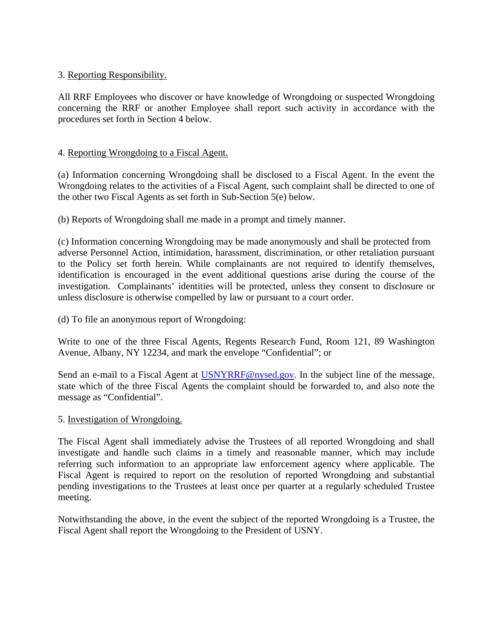## 3. Reporting Responsibility.

All RRF Employees who discover or have knowledge of Wrongdoing or suspected Wrongdoing concerning the RRF or another Employee shall report such activity in accordance with the procedures set forth in Section 4 below.

## 4. Reporting Wrongdoing to a Fiscal Agent.

(a) Information concerning Wrongdoing shall be disclosed to a Fiscal Agent. In the event the Wrongdoing relates to the activities of a Fiscal Agent, such complaint shall be directed to one of the other two Fiscal Agents as set forth in Sub-Section 5(e) below.

(b) Reports of Wrongdoing shall me made in a prompt and timely manner.

(c) Information concerning Wrongdoing may be made anonymously and shall be protected from adverse Personnel Action, intimidation, harassment, discrimination, or other retaliation pursuant to the Policy set forth herein. While complainants are not required to identify themselves, identification is encouraged in the event additional questions arise during the course of the investigation. Complainants' identities will be protected, unless they consent to disclosure or unless disclosure is otherwise compelled by law or pursuant to a court order.

(d) To file an anonymous report of Wrongdoing:

Write to one of the three Fiscal Agents, Regents Research Fund, Room 121, 89 Washington Avenue, Albany, NY 12234, and mark the envelope "Confidential"; or

Send an e-mail to a Fiscal Agent at USNYRRF@nysed.gov. In the subject line of the message, state which of the three Fiscal Agents the complaint should be forwarded to, and also note the message as "Confidential".

## 5. Investigation of Wrongdoing.

The Fiscal Agent shall immediately advise the Trustees of all reported Wrongdoing and shall investigate and handle such claims in a timely and reasonable manner, which may include referring such information to an appropriate law enforcement agency where applicable. The Fiscal Agent is required to report on the resolution of reported Wrongdoing and substantial pending investigations to the Trustees at least once per quarter at a regularly scheduled Trustee meeting.

Notwithstanding the above, in the event the subject of the reported Wrongdoing is a Trustee, the Fiscal Agent shall report the Wrongdoing to the President of USNY.